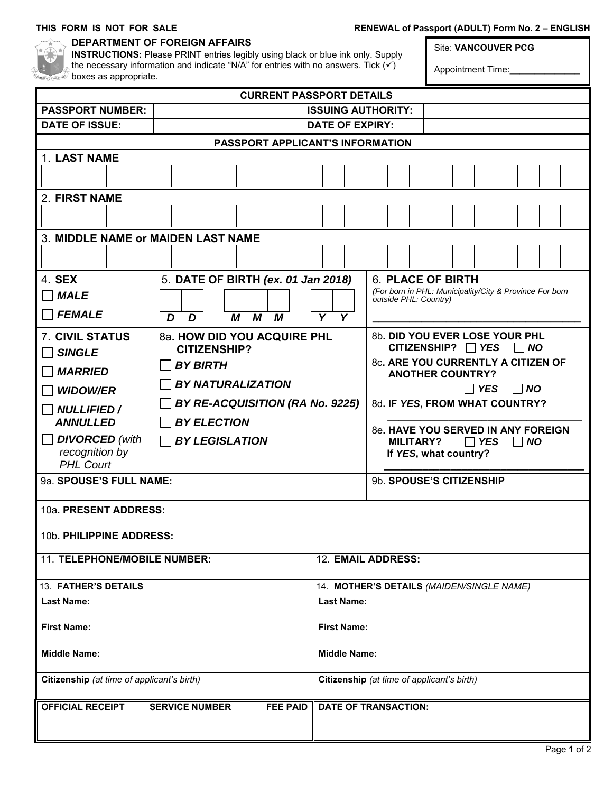### THIS FORM IS NOT FOR SALE **RENEWAL of Passport (ADULT) Form No. 2 – ENGLISH**

| <b>PERMITTE</b> |      |  |  |
|-----------------|------|--|--|
|                 | 810° |  |  |

#### **DEPARTMENT OF FOREIGN AFFAIRS**

**INSTRUCTIONS:** Please PRINT entries legibly using black or blue ink only. Supply the necessary information and indicate "N/A" for entries with no answers. Tick  $\overrightarrow{(v)}$ boxes as appropriate.

Site: **VANCOUVER PCG**

Appointment Time:

| <b>CURRENT PASSPORT DETAILS</b>                                     |                                                                    |                                            |                                                                                  |  |  |  |  |
|---------------------------------------------------------------------|--------------------------------------------------------------------|--------------------------------------------|----------------------------------------------------------------------------------|--|--|--|--|
| <b>PASSPORT NUMBER:</b>                                             | <b>ISSUING AUTHORITY:</b>                                          |                                            |                                                                                  |  |  |  |  |
| <b>DATE OF ISSUE:</b><br><b>DATE OF EXPIRY:</b>                     |                                                                    |                                            |                                                                                  |  |  |  |  |
| PASSPORT APPLICANT'S INFORMATION                                    |                                                                    |                                            |                                                                                  |  |  |  |  |
| 1. LAST NAME                                                        |                                                                    |                                            |                                                                                  |  |  |  |  |
|                                                                     |                                                                    |                                            |                                                                                  |  |  |  |  |
| 2. FIRST NAME                                                       |                                                                    |                                            |                                                                                  |  |  |  |  |
|                                                                     |                                                                    |                                            |                                                                                  |  |  |  |  |
| 3. MIDDLE NAME or MAIDEN LAST NAME                                  |                                                                    |                                            |                                                                                  |  |  |  |  |
|                                                                     |                                                                    |                                            |                                                                                  |  |  |  |  |
| 4. SEX                                                              | 5. DATE OF BIRTH (ex. 01 Jan 2018)                                 |                                            | 6. PLACE OF BIRTH                                                                |  |  |  |  |
| <b>MALE</b>                                                         |                                                                    |                                            | (For born in PHL: Municipality/City & Province For born<br>outside PHL: Country) |  |  |  |  |
| <b>FEMALE</b>                                                       | $\overline{\mathsf{Y}}$<br>$\overline{Y}$<br>M<br>M<br>D<br>D<br>М |                                            |                                                                                  |  |  |  |  |
| <b>7. CIVIL STATUS</b>                                              | 8a. HOW DID YOU ACQUIRE PHL<br><b>CITIZENSHIP?</b>                 |                                            | 8b. DID YOU EVER LOSE YOUR PHL<br>CITIZENSHIP? $\Box$ YES<br>$\Box$ NO           |  |  |  |  |
| <b>SINGLE</b>                                                       | <b>BY BIRTH</b>                                                    |                                            | 8c. ARE YOU CURRENTLY A CITIZEN OF                                               |  |  |  |  |
| <b>MARRIED</b>                                                      |                                                                    |                                            | <b>ANOTHER COUNTRY?</b>                                                          |  |  |  |  |
| <b>WIDOW/ER</b>                                                     | <b>BY NATURALIZATION</b>                                           |                                            | $\Box$ NO<br>$\Box$ YES                                                          |  |  |  |  |
| <b>NULLIFIED /</b>                                                  | BY RE-ACQUISITION (RA No. 9225)                                    |                                            | 8d. IF YES, FROM WHAT COUNTRY?                                                   |  |  |  |  |
| <b>ANNULLED</b>                                                     | <b>BY ELECTION</b>                                                 |                                            | 8e. HAVE YOU SERVED IN ANY FOREIGN                                               |  |  |  |  |
| <b>DIVORCED</b> (with                                               | <b>BY LEGISLATION</b>                                              |                                            | <b>MILITARY?</b><br>$\Box$ YES<br>$\overline{N}$                                 |  |  |  |  |
| recognition by                                                      |                                                                    |                                            | If YES, what country?                                                            |  |  |  |  |
| <b>PHL Court</b>                                                    |                                                                    |                                            |                                                                                  |  |  |  |  |
| 9a. SPOUSE'S FULL NAME:                                             |                                                                    |                                            | 9b. SPOUSE'S CITIZENSHIP                                                         |  |  |  |  |
| 10a. PRESENT ADDRESS:                                               |                                                                    |                                            |                                                                                  |  |  |  |  |
| 10b. PHILIPPINE ADDRESS:                                            |                                                                    |                                            |                                                                                  |  |  |  |  |
| 11. TELEPHONE/MOBILE NUMBER:                                        |                                                                    | 12. EMAIL ADDRESS:                         |                                                                                  |  |  |  |  |
| 13. FATHER'S DETAILS                                                |                                                                    | 14. MOTHER'S DETAILS (MAIDEN/SINGLE NAME)  |                                                                                  |  |  |  |  |
| <b>Last Name:</b>                                                   |                                                                    | <b>Last Name:</b>                          |                                                                                  |  |  |  |  |
| <b>First Name:</b>                                                  |                                                                    | <b>First Name:</b>                         |                                                                                  |  |  |  |  |
| <b>Middle Name:</b>                                                 |                                                                    | <b>Middle Name:</b>                        |                                                                                  |  |  |  |  |
| Citizenship (at time of applicant's birth)                          |                                                                    | Citizenship (at time of applicant's birth) |                                                                                  |  |  |  |  |
| <b>OFFICIAL RECEIPT</b><br><b>SERVICE NUMBER</b><br><b>FEE PAID</b> |                                                                    |                                            | <b>DATE OF TRANSACTION:</b>                                                      |  |  |  |  |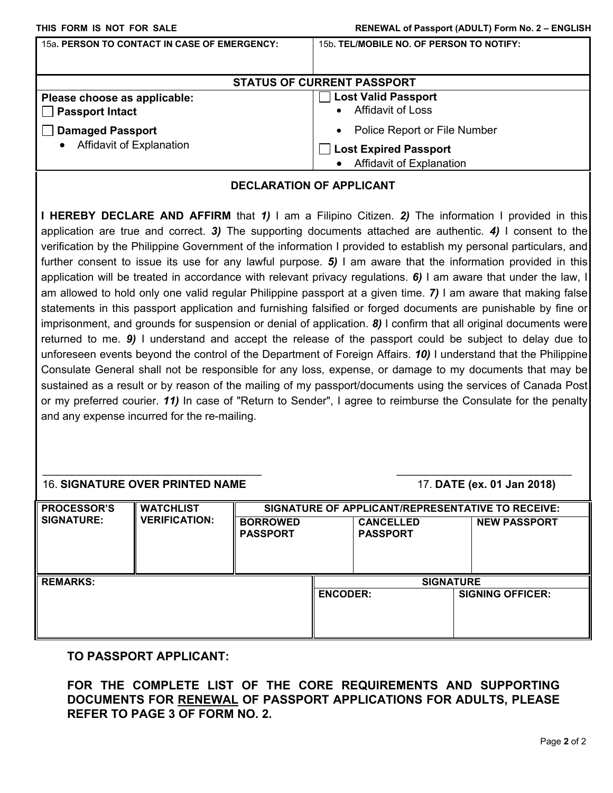| 15a. PERSON TO CONTACT IN CASE OF EMERGENCY: | 15b. TEL/MOBILE NO. OF PERSON TO NOTIFY: |  |  |  |  |  |
|----------------------------------------------|------------------------------------------|--|--|--|--|--|
| <b>STATUS OF CURRENT PASSPORT</b>            |                                          |  |  |  |  |  |
| Please choose as applicable:                 | <b>Lost Valid Passport</b>               |  |  |  |  |  |
| <b>Passport Intact</b>                       | <b>Affidavit of Loss</b>                 |  |  |  |  |  |
| <b>Damaged Passport</b>                      | Police Report or File Number             |  |  |  |  |  |
| Affidavit of Explanation                     | <b>Lost Expired Passport</b>             |  |  |  |  |  |
| $\bullet$                                    | <b>Affidavit of Explanation</b>          |  |  |  |  |  |

#### **DECLARATION OF APPLICANT**

**I HEREBY DECLARE AND AFFIRM** that *1)* I am a Filipino Citizen. *2)* The information I provided in this application are true and correct. *3)* The supporting documents attached are authentic. *4)* I consent to the verification by the Philippine Government of the information I provided to establish my personal particulars, and further consent to issue its use for any lawful purpose. *5)* I am aware that the information provided in this application will be treated in accordance with relevant privacy regulations. *6)* I am aware that under the law, I am allowed to hold only one valid regular Philippine passport at a given time. *7)* I am aware that making false statements in this passport application and furnishing falsified or forged documents are punishable by fine or imprisonment, and grounds for suspension or denial of application. *8)* I confirm that all original documents were returned to me. *9)* I understand and accept the release of the passport could be subject to delay due to unforeseen events beyond the control of the Department of Foreign Affairs. *10)* I understand that the Philippine Consulate General shall not be responsible for any loss, expense, or damage to my documents that may be sustained as a result or by reason of the mailing of my passport/documents using the services of Canada Post or my preferred courier. *11)* In case of "Return to Sender", I agree to reimburse the Consulate for the penalty and any expense incurred for the re-mailing.

#### 16. **SIGNATURE OVER PRINTED NAME** 17. **DATE (ex. 01 Jan 2018)**

| <b>PROCESSOR'S</b> | <b>WATCHLIST</b>     | <b>BORROWED</b> |                 | <b>CANCELLED</b> | SIGNATURE OF APPLICANT/REPRESENTATIVE TO RECEIVE: |
|--------------------|----------------------|-----------------|-----------------|------------------|---------------------------------------------------|
| <b>SIGNATURE:</b>  | <b>VERIFICATION:</b> | <b>PASSPORT</b> |                 | <b>PASSPORT</b>  | <b>NEW PASSPORT</b>                               |
| <b>REMARKS:</b>    |                      |                 | <b>ENCODER:</b> | <b>SIGNATURE</b> | <b>SIGNING OFFICER:</b>                           |

\_\_\_\_\_\_\_\_\_\_\_\_\_\_\_\_\_\_\_\_\_\_\_\_\_\_\_\_\_\_\_\_\_\_\_\_\_\_\_\_ \_\_\_\_\_\_\_\_\_\_\_\_\_\_\_\_\_\_\_\_\_\_\_\_\_\_\_\_\_\_\_\_

#### **TO PASSPORT APPLICANT:**

**FOR THE COMPLETE LIST OF THE CORE REQUIREMENTS AND SUPPORTING DOCUMENTS FOR RENEWAL OF PASSPORT APPLICATIONS FOR ADULTS, PLEASE REFER TO PAGE 3 OF FORM NO. 2.**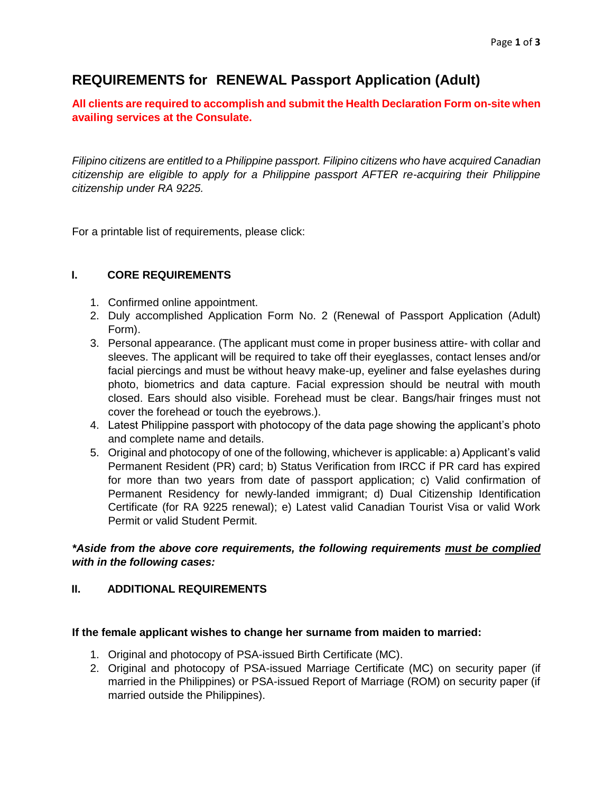# **REQUIREMENTS for RENEWAL Passport Application (Adult)**

**All clients are required to accomplish and submit the Health Declaration Form on-site when availing services at the Consulate.**

*Filipino citizens are entitled to a Philippine passport. Filipino citizens who have acquired Canadian citizenship are eligible to apply for a Philippine passport AFTER re-acquiring their Philippine citizenship under RA 9225.*

For a printable list of requirements, please click:

### **I. CORE REQUIREMENTS**

- 1. Confirmed online appointment.
- 2. Duly accomplished Application Form No. 2 (Renewal of Passport Application (Adult) Form).
- 3. Personal appearance. (The applicant must come in proper business attire- with collar and sleeves. The applicant will be required to take off their eyeglasses, contact lenses and/or facial piercings and must be without heavy make-up, eyeliner and false eyelashes during photo, biometrics and data capture. Facial expression should be neutral with mouth closed. Ears should also visible. Forehead must be clear. Bangs/hair fringes must not cover the forehead or touch the eyebrows.).
- 4. Latest Philippine passport with photocopy of the data page showing the applicant's photo and complete name and details.
- 5. Original and photocopy of one of the following, whichever is applicable: a) Applicant's valid Permanent Resident (PR) card; b) Status Verification from IRCC if PR card has expired for more than two years from date of passport application; c) Valid confirmation of Permanent Residency for newly-landed immigrant; d) Dual Citizenship Identification Certificate (for RA 9225 renewal); e) Latest valid Canadian Tourist Visa or valid Work Permit or valid Student Permit.

### *\*Aside from the above core requirements, the following requirements must be complied with in the following cases:*

### **II. ADDITIONAL REQUIREMENTS**

#### **If the female applicant wishes to change her surname from maiden to married:**

- 1. Original and photocopy of PSA-issued Birth Certificate (MC).
- 2. Original and photocopy of PSA-issued Marriage Certificate (MC) on security paper (if married in the Philippines) or PSA-issued Report of Marriage (ROM) on security paper (if married outside the Philippines).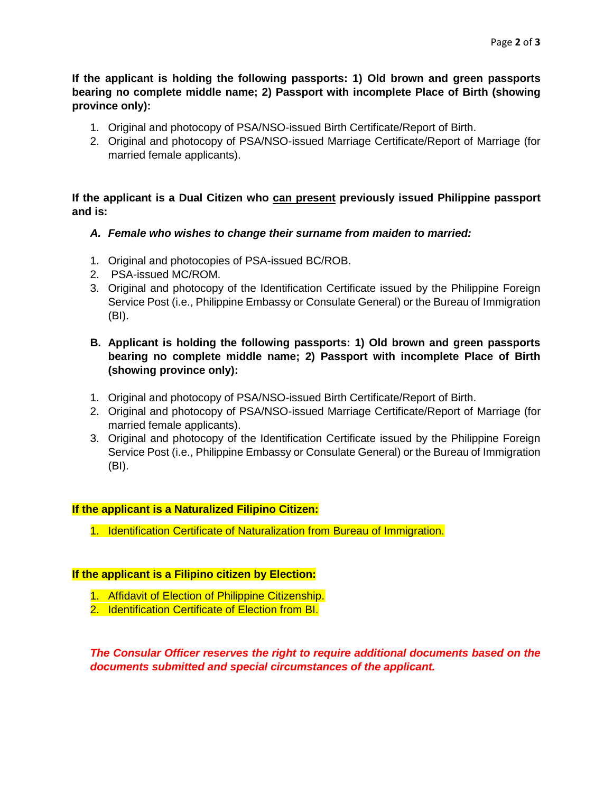**If the applicant is holding the following passports: 1) Old brown and green passports bearing no complete middle name; 2) Passport with incomplete Place of Birth (showing province only):**

- 1. Original and photocopy of PSA/NSO-issued Birth Certificate/Report of Birth.
- 2. Original and photocopy of PSA/NSO-issued Marriage Certificate/Report of Marriage (for married female applicants).

**If the applicant is a Dual Citizen who can present previously issued Philippine passport and is:**

- *A. Female who wishes to change their surname from maiden to married:*
- 1. Original and photocopies of PSA-issued BC/ROB.
- 2. PSA-issued MC/ROM.
- 3. Original and photocopy of the Identification Certificate issued by the Philippine Foreign Service Post (i.e., Philippine Embassy or Consulate General) or the Bureau of Immigration (BI).

#### **B. Applicant is holding the following passports: 1) Old brown and green passports bearing no complete middle name; 2) Passport with incomplete Place of Birth (showing province only):**

- 1. Original and photocopy of PSA/NSO-issued Birth Certificate/Report of Birth.
- 2. Original and photocopy of PSA/NSO-issued Marriage Certificate/Report of Marriage (for married female applicants).
- 3. Original and photocopy of the Identification Certificate issued by the Philippine Foreign Service Post (i.e., Philippine Embassy or Consulate General) or the Bureau of Immigration (BI).

# **If the applicant is a Naturalized Filipino Citizen:**

1. Identification Certificate of Naturalization from Bureau of Immigration.

#### **If the applicant is a Filipino citizen by Election:**

- 1. Affidavit of Election of Philippine Citizenship.
- 2. Identification Certificate of Election from BI.

*The Consular Officer reserves the right to require additional documents based on the documents submitted and special circumstances of the applicant.*